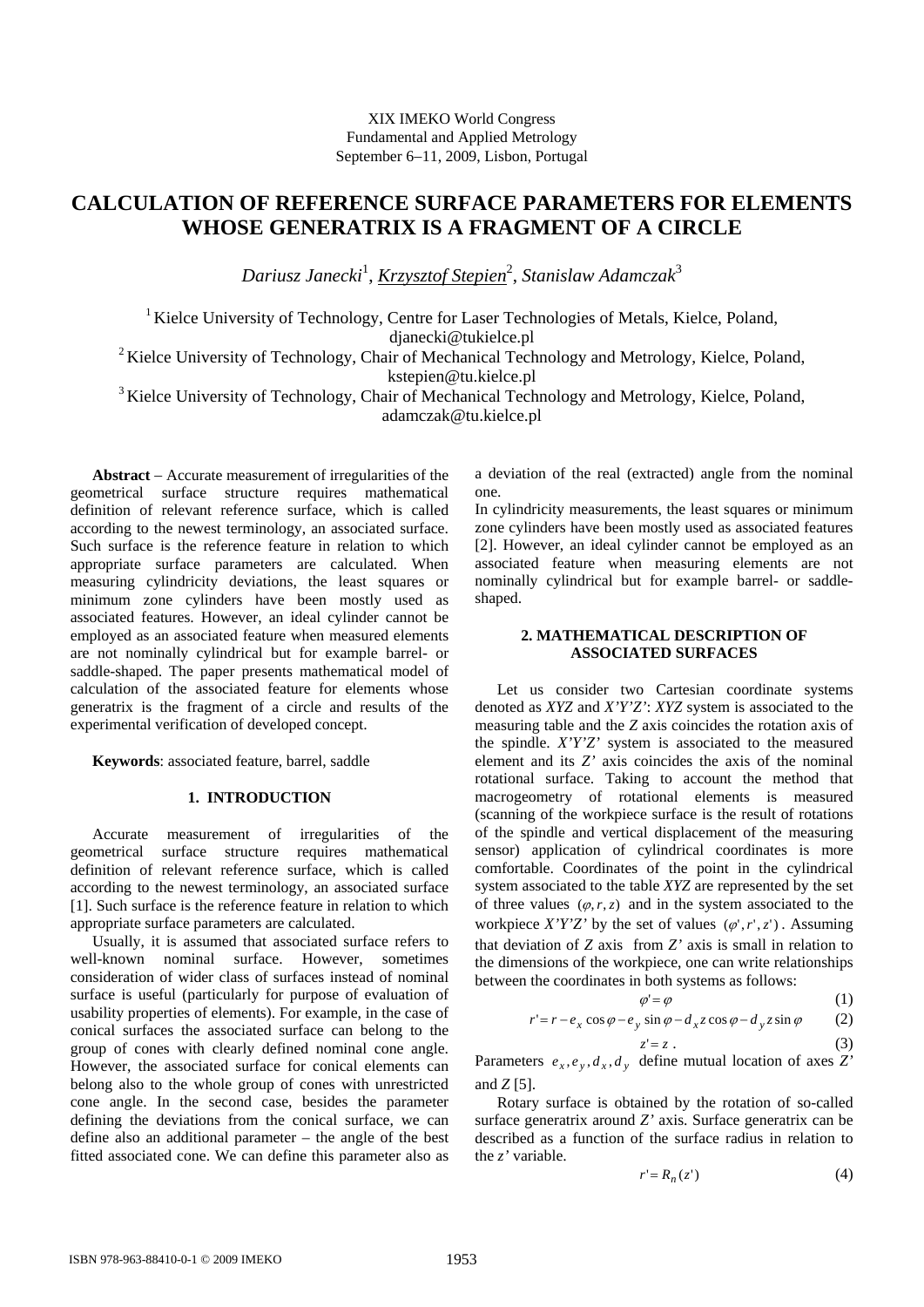# **CALCULATION OF REFERENCE SURFACE PARAMETERS FOR ELEMENTS WHOSE GENERATRIX IS A FRAGMENT OF A CIRCLE**

*Dariusz Janecki*<sup>1</sup> , *Krzysztof Stepien*<sup>2</sup> , *Stanislaw Adamczak*<sup>3</sup>

<sup>1</sup> Kielce University of Technology, Centre for Laser Technologies of Metals, Kielce, Poland, djanecki@tukielce.pl

<sup>2</sup> Kielce University of Technology, Chair of Mechanical Technology and Metrology, Kielce, Poland, kstepien@tu.kielce.pl

<sup>3</sup> Kielce University of Technology, Chair of Mechanical Technology and Metrology, Kielce, Poland, adamczak@tu.kielce.pl

**Abstract** − Accurate measurement of irregularities of the geometrical surface structure requires mathematical definition of relevant reference surface, which is called according to the newest terminology, an associated surface. Such surface is the reference feature in relation to which appropriate surface parameters are calculated. When measuring cylindricity deviations, the least squares or minimum zone cylinders have been mostly used as associated features. However, an ideal cylinder cannot be employed as an associated feature when measured elements are not nominally cylindrical but for example barrel- or saddle-shaped. The paper presents mathematical model of calculation of the associated feature for elements whose generatrix is the fragment of a circle and results of the experimental verification of developed concept.

**Keywords**: associated feature, barrel, saddle

#### **1. INTRODUCTION**

Accurate measurement of irregularities of the geometrical surface structure requires mathematical definition of relevant reference surface, which is called according to the newest terminology, an associated surface [1]. Such surface is the reference feature in relation to which appropriate surface parameters are calculated.

 Usually, it is assumed that associated surface refers to well-known nominal surface. However, sometimes consideration of wider class of surfaces instead of nominal surface is useful (particularly for purpose of evaluation of usability properties of elements). For example, in the case of conical surfaces the associated surface can belong to the group of cones with clearly defined nominal cone angle. However, the associated surface for conical elements can belong also to the whole group of cones with unrestricted cone angle. In the second case, besides the parameter defining the deviations from the conical surface, we can define also an additional parameter – the angle of the best fitted associated cone. We can define this parameter also as a deviation of the real (extracted) angle from the nominal one.

In cylindricity measurements, the least squares or minimum zone cylinders have been mostly used as associated features [2]. However, an ideal cylinder cannot be employed as an associated feature when measuring elements are not nominally cylindrical but for example barrel- or saddleshaped.

## **2. MATHEMATICAL DESCRIPTION OF ASSOCIATED SURFACES**

Let us consider two Cartesian coordinate systems denoted as *XYZ* and *X'Y'Z'*: *XYZ* system is associated to the measuring table and the *Z* axis coincides the rotation axis of the spindle. *X'Y'Z'* system is associated to the measured element and its *Z'* axis coincides the axis of the nominal rotational surface. Taking to account the method that macrogeometry of rotational elements is measured (scanning of the workpiece surface is the result of rotations of the spindle and vertical displacement of the measuring sensor) application of cylindrical coordinates is more comfortable. Coordinates of the point in the cylindrical system associated to the table *XYZ* are represented by the set of three values  $(\varphi, r, z)$  and in the system associated to the workpiece *X'Y'Z'* by the set of values  $(\varphi', r', z')$ . Assuming that deviation of *Z* axis from *Z'* axis is small in relation to the dimensions of the workpiece, one can write relationships between the coordinates in both systems as follows:

$$
\varphi' = \varphi \tag{1}
$$

$$
r' = r - e_x \cos \varphi - e_y \sin \varphi - d_x z \cos \varphi - d_y z \sin \varphi \qquad (2)
$$

$$
(3)
$$

Parameters  $e_x$ ,  $e_y$ ,  $d_x$ ,  $d_y$  define mutual location of axes *Z'* and  $Z$  [5].

 $z' = z$ .

Rotary surface is obtained by the rotation of so-called surface generatrix around *Z'* axis. Surface generatrix can be described as a function of the surface radius in relation to the *z'* variable.

$$
r' = R_n(z')\tag{4}
$$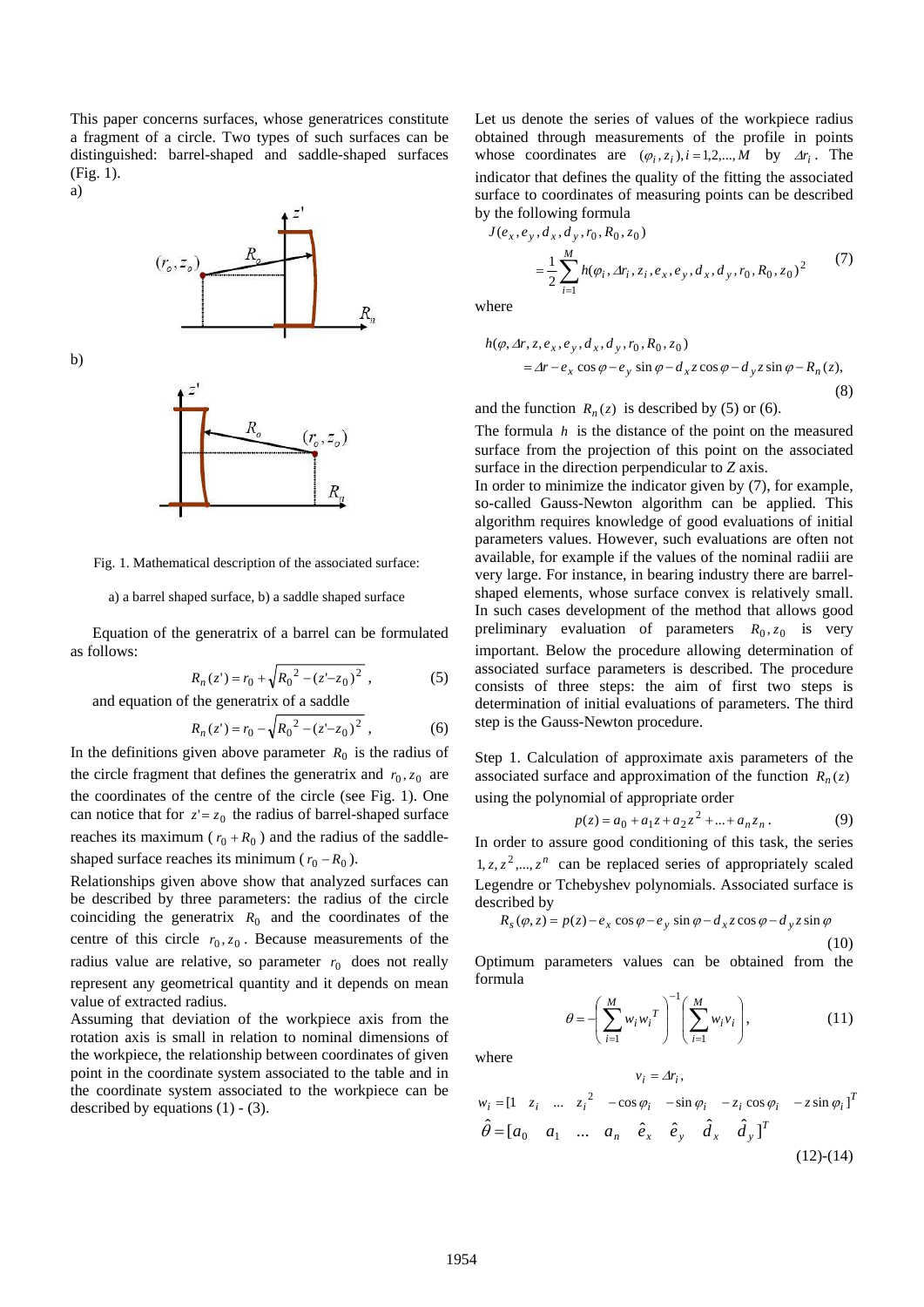This paper concerns surfaces, whose generatrices constitute a fragment of a circle. Two types of such surfaces can be distinguished: barrel-shaped and saddle-shaped surfaces (Fig. 1).



b)





Fig. 1. Mathematical description of the associated surface:

a) a barrel shaped surface, b) a saddle shaped surface

Equation of the generatrix of a barrel can be formulated as follows:

$$
R_n(z^*) = r_0 + \sqrt{R_0^2 - (z^* - z_0)^2} \,,
$$
 (5)  
and equation of the generatrix of a saddle

$$
R_n(z^{\prime}) = r_0 - \sqrt{R_0^2 - (z^{\prime} - z_0)^2} \,, \tag{6}
$$

In the definitions given above parameter  $R_0$  is the radius of the circle fragment that defines the generatrix and  $r_0$ ,  $z_0$  are the coordinates of the centre of the circle (see Fig. 1). One can notice that for  $z' = z_0$  the radius of barrel-shaped surface reaches its maximum ( $r_0 + R_0$ ) and the radius of the saddleshaped surface reaches its minimum ( $r_0 - R_0$ ).

Relationships given above show that analyzed surfaces can be described by three parameters: the radius of the circle coinciding the generatrix  $R_0$  and the coordinates of the centre of this circle  $r_0$ ,  $z_0$ . Because measurements of the radius value are relative, so parameter  $r_0$  does not really represent any geometrical quantity and it depends on mean value of extracted radius.

Assuming that deviation of the workpiece axis from the rotation axis is small in relation to nominal dimensions of the workpiece, the relationship between coordinates of given point in the coordinate system associated to the table and in the coordinate system associated to the workpiece can be described by equations  $(1)$  -  $(3)$ .

Let us denote the series of values of the workpiece radius obtained through measurements of the profile in points whose coordinates are  $(\varphi_i, z_i)$ ,  $i = 1, 2, ..., M$  by  $\Delta r_i$ . The indicator that defines the quality of the fitting the associated surface to coordinates of measuring points can be described by the following formula

$$
J(e_x, e_y, d_x, d_y, r_0, R_0, z_0)
$$
  
= 
$$
\frac{1}{2} \sum_{i=1}^{M} h(\varphi_i, Ar_i, z_i, e_x, e_y, d_x, d_y, r_0, R_0, z_0)^2
$$
 (7)

where

$$
h(\varphi, \Delta r, z, e_x, e_y, d_x, d_y, r_0, R_0, z_0)
$$
  
=  $\Delta r - e_x \cos \varphi - e_y \sin \varphi - d_x z \cos \varphi - d_y z \sin \varphi - R_n(z),$  (8)

and the function  $R_n(z)$  is described by (5) or (6).

The formula *h* is the distance of the point on the measured surface from the projection of this point on the associated surface in the direction perpendicular to *Z* axis.

In order to minimize the indicator given by (7), for example, so-called Gauss-Newton algorithm can be applied. This algorithm requires knowledge of good evaluations of initial parameters values. However, such evaluations are often not available, for example if the values of the nominal radiii are very large. For instance, in bearing industry there are barrelshaped elements, whose surface convex is relatively small. In such cases development of the method that allows good preliminary evaluation of parameters  $R_0$ ,  $z_0$  is very important. Below the procedure allowing determination of associated surface parameters is described. The procedure consists of three steps: the aim of first two steps is determination of initial evaluations of parameters. The third step is the Gauss-Newton procedure.

Step 1. Calculation of approximate axis parameters of the associated surface and approximation of the function  $R_n(z)$ using the polynomial of appropriate order

$$
p(z) = a_0 + a_1 z + a_2 z^2 + \dots + a_n z_n.
$$
 (9)

In order to assure good conditioning of this task, the series  $1, z, z<sup>2</sup>, ..., z<sup>n</sup>$  can be replaced series of appropriately scaled Legendre or Tchebyshev polynomials. Associated surface is described by

$$
R_s(\varphi, z) = p(z) - e_x \cos \varphi - e_y \sin \varphi - d_x z \cos \varphi - d_y z \sin \varphi
$$
\n(10)

Optimum parameters values can be obtained from the formula

$$
\theta = -\left(\sum_{i=1}^{M} w_i w_i^T\right)^{-1} \left(\sum_{i=1}^{M} w_i v_i\right),\tag{11}
$$

where

$$
w_i = \begin{bmatrix} 1 & z_i & \dots & z_i \end{bmatrix}^2 - \cos \varphi_i \quad -\sin \varphi_i \quad -z_i \cos \varphi_i \quad -z \sin \varphi_i \end{bmatrix}^T
$$
  
\n
$$
\hat{\theta} = \begin{bmatrix} a_0 & a_1 & \dots & a_n \end{bmatrix}^2 \hat{e}_x \quad \hat{e}_y \quad \hat{d}_x \quad \hat{d}_y \end{bmatrix}^T
$$
  
\n(12)-(14)

 $v_i = \Delta r_i$ ,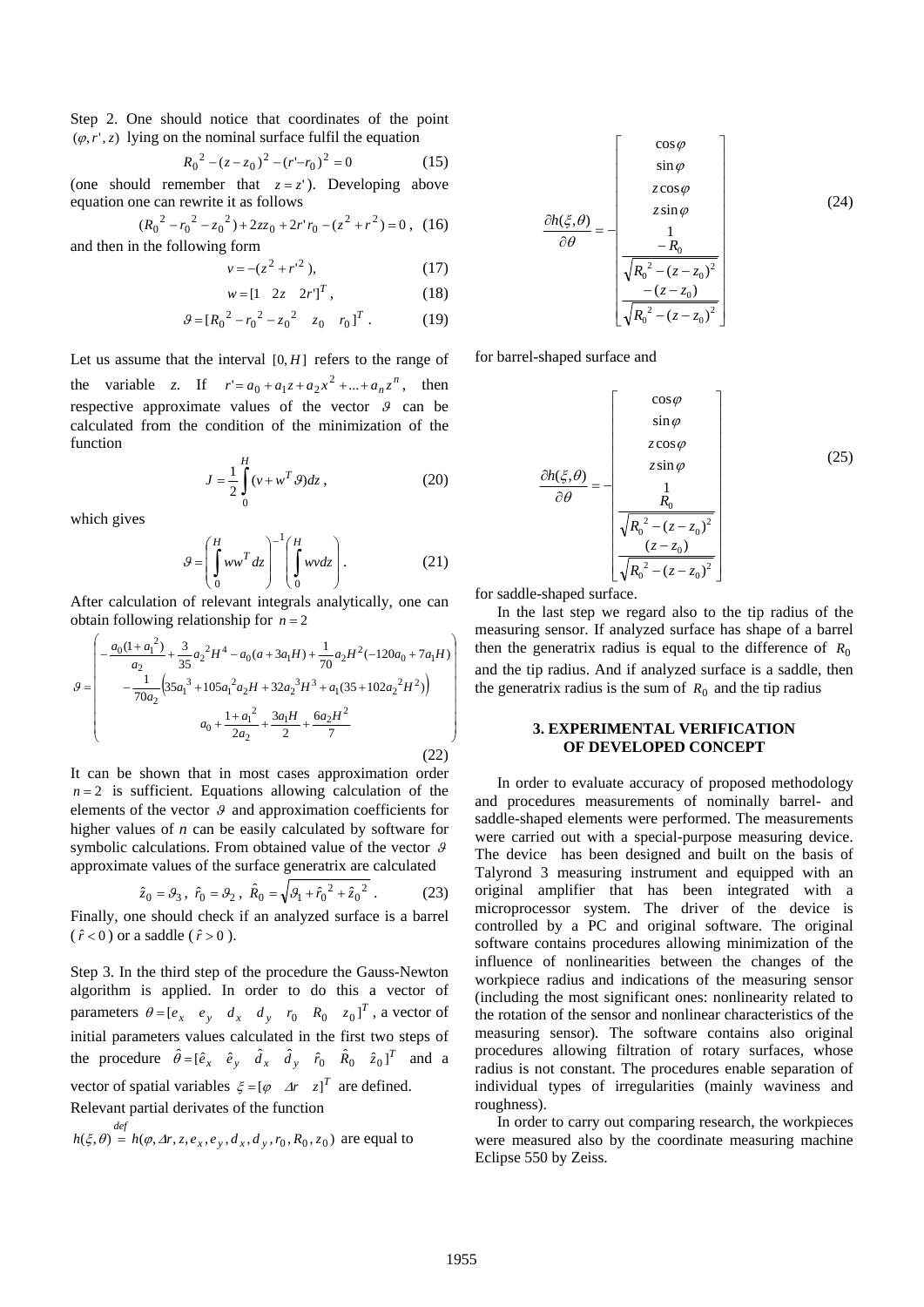Step 2. One should notice that coordinates of the point  $(\varphi, r', z)$  lying on the nominal surface fulfil the equation

$$
R_0^2 - (z - z_0)^2 - (r - r_0)^2 = 0
$$
 (15)

(one should remember that  $z = z'$ ). Developing above equation one can rewrite it as follows

$$
(R_0^2 - {r_0}^2 - {z_0}^2) + 2zz_0 + 2r'r_0 - (z^2 + r^2) = 0
$$
, (16)

and then in the following form

$$
v = -(z^2 + r^{2}),
$$
 (17)

$$
w = \begin{bmatrix} 1 & 2z & 2r \end{bmatrix}^T, \tag{18}
$$

$$
g = [R_0^2 - r_0^2 - z_0^2 \ z_0 \ r_0]^T. \tag{19}
$$

Let us assume that the interval  $[0, H]$  refers to the range of the variable *z*. If  $r' = a_0 + a_1 z + a_2 x^2 + ... + a_n z^n$ , then respective approximate values of the vector  $\theta$  can be calculated from the condition of the minimization of the function

$$
J = \frac{1}{2} \int_{0}^{H} (v + w^{T} \mathcal{G}) dz ,
$$
 (20)

which gives

$$
g = \left(\int_{0}^{H} ww^{T} dz\right)^{-1} \left(\int_{0}^{H} wvdz\right).
$$
 (21)

After calculation of relevant integrals analytically, one can obtain following relationship for  $n = 2$ 

$$
g = \begin{pmatrix} -\frac{a_0(1 + a_1^2)}{a_2} + \frac{3}{35}a_2^2H^4 - a_0(a + 3a_1H) + \frac{1}{70}a_2H^2(-120a_0 + 7a_1H) \\ -\frac{1}{70a_2}\left(35a_1^3 + 105a_1^2a_2H + 32a_2^3H^3 + a_1(35 + 102a_2^2H^2)\right) \\ a_0 + \frac{1 + a_1^2}{2a_2} + \frac{3a_1H}{2} + \frac{6a_2H^2}{7} \end{pmatrix}
$$
(22)

It can be shown that in most cases approximation order  $n = 2$  is sufficient. Equations allowing calculation of the elements of the vector  $\theta$  and approximation coefficients for higher values of *n* can be easily calculated by software for symbolic calculations. From obtained value of the vector  $\theta$ approximate values of the surface generatrix are calculated

$$
\hat{z}_0 = \theta_3
$$
,  $\hat{r}_0 = \theta_2$ ,  $\hat{R}_0 = \sqrt{\theta_1 + \hat{r}_0^2 + \hat{z}_0^2}$ . (23)

Finally, one should check if an analyzed surface is a barrel (
$$
\hat{r} < 0
$$
) or a saddle ( $\hat{r} > 0$ ).

Step 3. In the third step of the procedure the Gauss-Newton algorithm is applied. In order to do this a vector of parameters  $\theta = [e_x \quad e_y \quad d_x \quad d_y \quad r_0 \quad R_0 \quad z_0]^T$ , a vector of initial parameters values calculated in the first two steps of the procedure  $\hat{\theta} = [\hat{e}_x \quad \hat{e}_y \quad \hat{d}_x \quad \hat{d}_y \quad \hat{r}_0 \quad \hat{R}_0 \quad \hat{z}_0]^T$  and a vector of spatial variables  $\xi = [\varphi \ \Delta r \ z]^T$  are defined.

Relevant partial derivates of the function

$$
h(\xi, \theta) = h(\varphi, \Delta r, z, e_x, e_y, d_x, d_y, r_0, R_0, z_0)
$$
 are equal to

$$
\frac{\partial h(\xi,\theta)}{\partial \theta} = -\begin{bmatrix} \cos\varphi \\ \sin\varphi \\ z\cos\varphi \\ z\sin\varphi \\ \frac{1}{\sqrt{R_0^2 - (z - z_0)^2}} \\ -\frac{(z - z_0)}{\sqrt{R_0^2 - (z - z_0)^2}} \end{bmatrix}
$$
(24)

for barrel-shaped surface and

$$
\frac{\partial h(\xi,\theta)}{\partial \theta} = -\begin{bmatrix} \cos\varphi \\ \sin\varphi \\ z\cos\varphi \\ z\sin\varphi \\ \frac{1}{R_0} \\ \frac{R_0}{\sqrt{R_0^2 - (z - z_0)^2}} \\ \frac{(z - z_0)}{\sqrt{R_0^2 - (z - z_0)^2}} \end{bmatrix}
$$
(25)

for saddle-shaped surface.

In the last step we regard also to the tip radius of the measuring sensor. If analyzed surface has shape of a barrel then the generatrix radius is equal to the difference of  $R_0$ and the tip radius. And if analyzed surface is a saddle, then the generatrix radius is the sum of  $R_0$  and the tip radius

## **3. EXPERIMENTAL VERIFICATION OF DEVELOPED CONCEPT**

In order to evaluate accuracy of proposed methodology and procedures measurements of nominally barrel- and saddle-shaped elements were performed. The measurements were carried out with a special-purpose measuring device. The device has been designed and built on the basis of Talyrond 3 measuring instrument and equipped with an original amplifier that has been integrated with a microprocessor system. The driver of the device is controlled by a PC and original software. The original software contains procedures allowing minimization of the influence of nonlinearities between the changes of the workpiece radius and indications of the measuring sensor (including the most significant ones: nonlinearity related to the rotation of the sensor and nonlinear characteristics of the measuring sensor). The software contains also original procedures allowing filtration of rotary surfaces, whose radius is not constant. The procedures enable separation of individual types of irregularities (mainly waviness and roughness).

In order to carry out comparing research, the workpieces were measured also by the coordinate measuring machine Eclipse 550 by Zeiss.